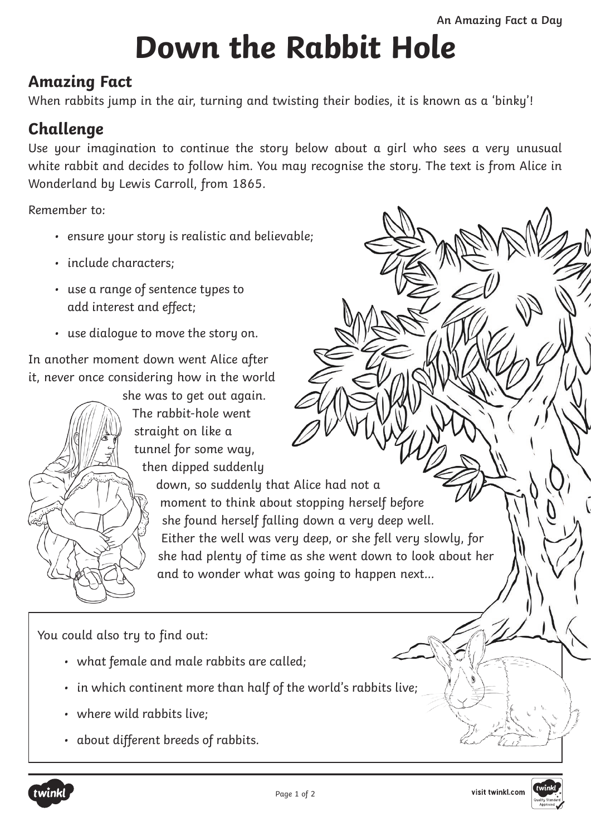## **Down the Rabbit Hole**

## **Amazing Fact**

When rabbits jump in the air, turning and twisting their bodies, it is known as a 'binky'!

## **Challenge**

Use your imagination to continue the story below about a girl who sees a very unusual white rabbit and decides to follow him. You may recognise the story. The text is from Alice in Wonderland by Lewis Carroll, from 1865.

Remember to:

- ensure your story is realistic and believable;
- include characters;
- use a range of sentence types to add interest and effect;
- use dialogue to move the story on.

In another moment down went Alice after it, never once considering how in the world



twînk

she was to get out again. The rabbit-hole went straight on like a tunnel for some way, then dipped suddenly

> down, so suddenly that Alice had not a moment to think about stopping herself before she found herself falling down a very deep well. Either the well was very deep, or she fell very slowly, for she had plenty of time as she went down to look about her and to wonder what was going to happen next…

You could also try to find out:

- what female and male rabbits are called;
- in which continent more than half of the world's rabbits live;
- where wild rabbits live;
- about different breeds of rabbits.